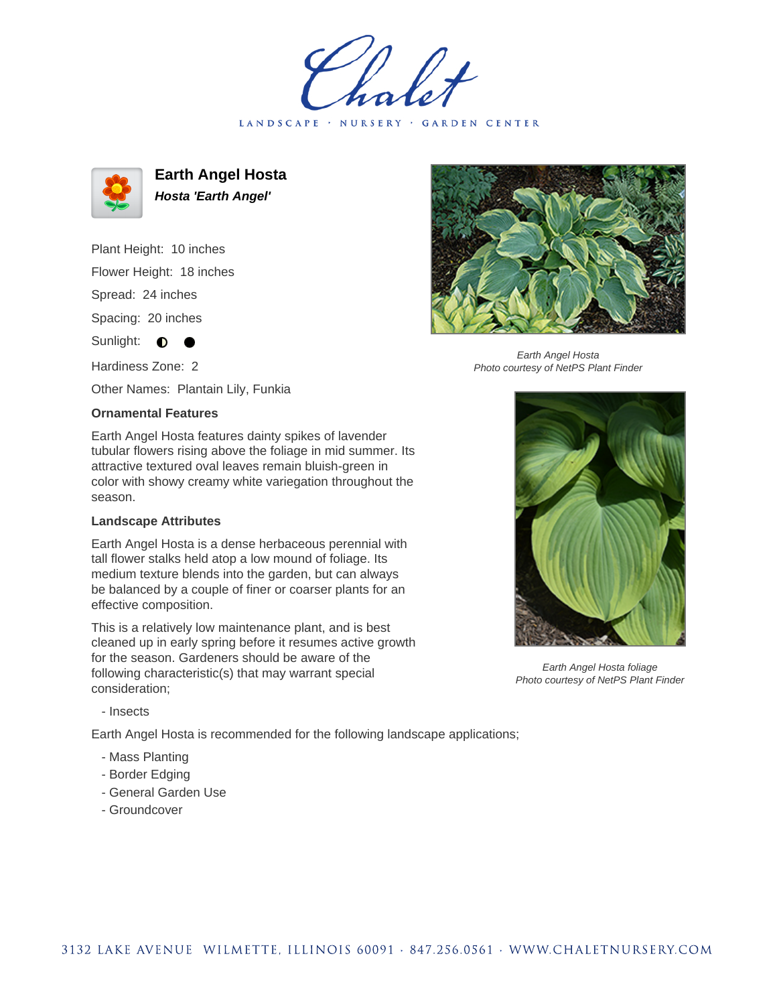LANDSCAPE · NURSERY · GARDEN CENTER



**Earth Angel Hosta Hosta 'Earth Angel'**

Plant Height: 10 inches Flower Height: 18 inches Spread: 24 inches Spacing: 20 inches Sunlight:  $\bullet$ Hardiness Zone: 2

Other Names: Plantain Lily, Funkia

## **Ornamental Features**

Earth Angel Hosta features dainty spikes of lavender tubular flowers rising above the foliage in mid summer. Its attractive textured oval leaves remain bluish-green in color with showy creamy white variegation throughout the season.

## **Landscape Attributes**

Earth Angel Hosta is a dense herbaceous perennial with tall flower stalks held atop a low mound of foliage. Its medium texture blends into the garden, but can always be balanced by a couple of finer or coarser plants for an effective composition.

This is a relatively low maintenance plant, and is best cleaned up in early spring before it resumes active growth for the season. Gardeners should be aware of the following characteristic(s) that may warrant special consideration;

- Insects

Earth Angel Hosta is recommended for the following landscape applications;

- Mass Planting
- Border Edging
- General Garden Use
- Groundcover



Earth Angel Hosta Photo courtesy of NetPS Plant Finder



Earth Angel Hosta foliage Photo courtesy of NetPS Plant Finder